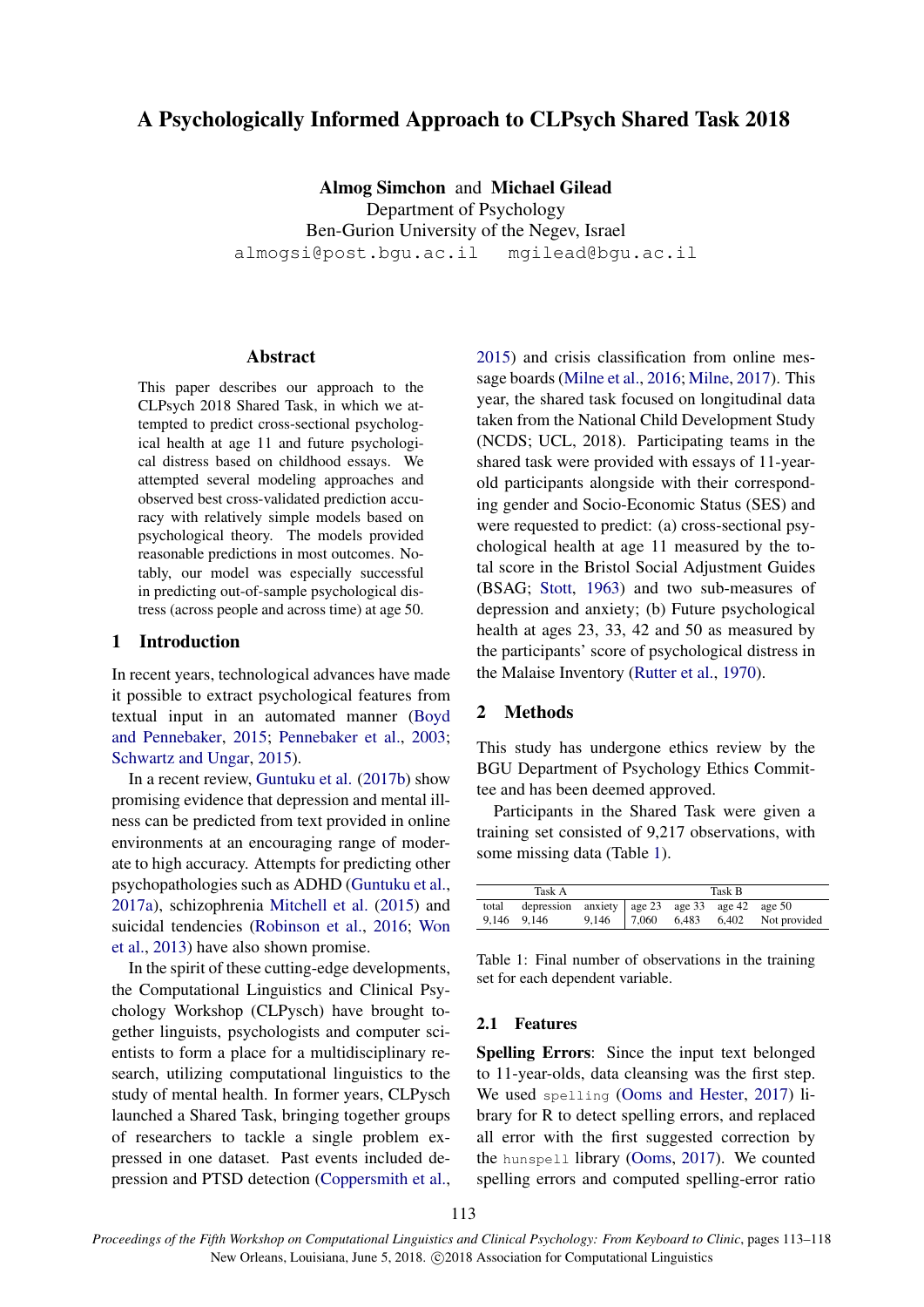# A Psychologically Informed Approach to CLPsych Shared Task 2018

Almog Simchon and Michael Gilead Department of Psychology Ben-Gurion University of the Negev, Israel almogsi@post.bgu.ac.il mgilead@bgu.ac.il

### Abstract

This paper describes our approach to the CLPsych 2018 Shared Task, in which we attempted to predict cross-sectional psychological health at age 11 and future psychological distress based on childhood essays. We attempted several modeling approaches and observed best cross-validated prediction accuracy with relatively simple models based on psychological theory. The models provided reasonable predictions in most outcomes. Notably, our model was especially successful in predicting out-of-sample psychological distress (across people and across time) at age 50.

# 1 Introduction

In recent years, technological advances have made it possible to extract psychological features from textual input in an automated manner (Boyd and Pennebaker, 2015; Pennebaker et al., 2003; Schwartz and Ungar, 2015).

In a recent review, Guntuku et al. (2017b) show promising evidence that depression and mental illness can be predicted from text provided in online environments at an encouraging range of moderate to high accuracy. Attempts for predicting other psychopathologies such as ADHD (Guntuku et al., 2017a), schizophrenia Mitchell et al. (2015) and suicidal tendencies (Robinson et al., 2016; Won et al., 2013) have also shown promise.

In the spirit of these cutting-edge developments, the Computational Linguistics and Clinical Psychology Workshop (CLPysch) have brought together linguists, psychologists and computer scientists to form a place for a multidisciplinary research, utilizing computational linguistics to the study of mental health. In former years, CLPysch launched a Shared Task, bringing together groups of researchers to tackle a single problem expressed in one dataset. Past events included depression and PTSD detection (Coppersmith et al.,

2015) and crisis classification from online message boards (Milne et al., 2016; Milne, 2017). This year, the shared task focused on longitudinal data taken from the National Child Development Study (NCDS; UCL, 2018). Participating teams in the shared task were provided with essays of 11-yearold participants alongside with their corresponding gender and Socio-Economic Status (SES) and were requested to predict: (a) cross-sectional psychological health at age 11 measured by the total score in the Bristol Social Adjustment Guides (BSAG; Stott, 1963) and two sub-measures of depression and anxiety; (b) Future psychological health at ages 23, 33, 42 and 50 as measured by the participants' score of psychological distress in the Malaise Inventory (Rutter et al., 1970).

# 2 Methods

This study has undergone ethics review by the BGU Department of Psychology Ethics Committee and has been deemed approved.

Participants in the Shared Task were given a training set consisted of 9,217 observations, with some missing data (Table 1).

| Task A |                                                      |  | Task B |  |  |                                            |  |
|--------|------------------------------------------------------|--|--------|--|--|--------------------------------------------|--|
|        | total depression anxiety age 23 age 33 age 42 age 50 |  |        |  |  |                                            |  |
|        | 9,146 9,146                                          |  |        |  |  | 9,146   7,060 $6,483$ $6,402$ Not provided |  |

Table 1: Final number of observations in the training set for each dependent variable.

#### 2.1 Features

Spelling Errors: Since the input text belonged to 11-year-olds, data cleansing was the first step. We used spelling (Ooms and Hester, 2017) library for R to detect spelling errors, and replaced all error with the first suggested correction by the hunspell library (Ooms, 2017). We counted spelling errors and computed spelling-error ratio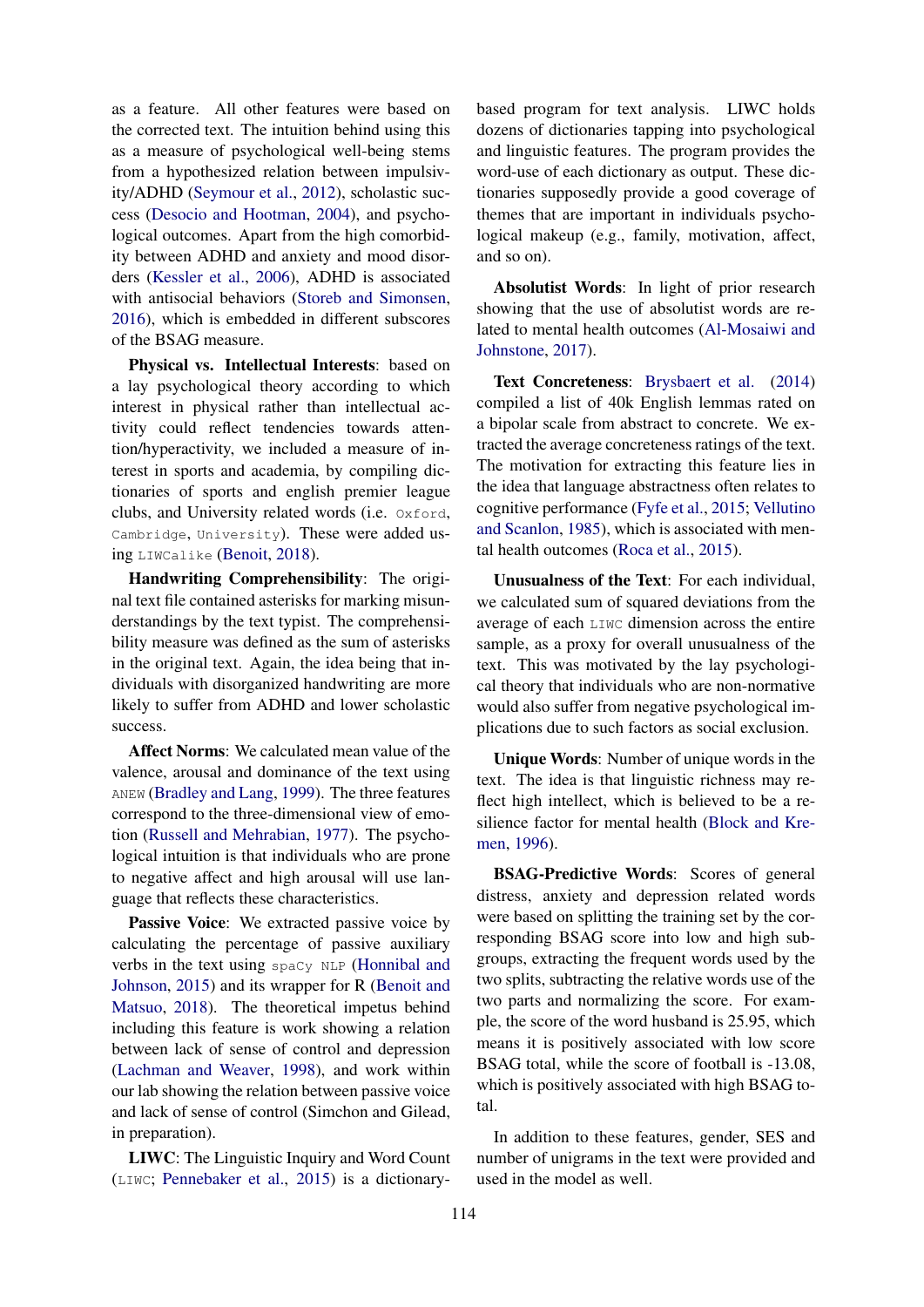as a feature. All other features were based on the corrected text. The intuition behind using this as a measure of psychological well-being stems from a hypothesized relation between impulsivity/ADHD (Seymour et al., 2012), scholastic success (Desocio and Hootman, 2004), and psychological outcomes. Apart from the high comorbidity between ADHD and anxiety and mood disorders (Kessler et al., 2006), ADHD is associated with antisocial behaviors (Storeb and Simonsen, 2016), which is embedded in different subscores of the BSAG measure.

Physical vs. Intellectual Interests: based on a lay psychological theory according to which interest in physical rather than intellectual activity could reflect tendencies towards attention/hyperactivity, we included a measure of interest in sports and academia, by compiling dictionaries of sports and english premier league clubs, and University related words (i.e. Oxford, Cambridge, University). These were added using LIWCalike (Benoit, 2018).

Handwriting Comprehensibility: The original text file contained asterisks for marking misunderstandings by the text typist. The comprehensibility measure was defined as the sum of asterisks in the original text. Again, the idea being that individuals with disorganized handwriting are more likely to suffer from ADHD and lower scholastic success.

Affect Norms: We calculated mean value of the valence, arousal and dominance of the text using ANEW (Bradley and Lang, 1999). The three features correspond to the three-dimensional view of emotion (Russell and Mehrabian, 1977). The psychological intuition is that individuals who are prone to negative affect and high arousal will use language that reflects these characteristics.

Passive Voice: We extracted passive voice by calculating the percentage of passive auxiliary verbs in the text using spaCy NLP (Honnibal and Johnson, 2015) and its wrapper for R (Benoit and Matsuo, 2018). The theoretical impetus behind including this feature is work showing a relation between lack of sense of control and depression (Lachman and Weaver, 1998), and work within our lab showing the relation between passive voice and lack of sense of control (Simchon and Gilead, in preparation).

LIWC: The Linguistic Inquiry and Word Count (LIWC; Pennebaker et al., 2015) is a dictionarybased program for text analysis. LIWC holds dozens of dictionaries tapping into psychological and linguistic features. The program provides the word-use of each dictionary as output. These dictionaries supposedly provide a good coverage of themes that are important in individuals psychological makeup (e.g., family, motivation, affect, and so on).

Absolutist Words: In light of prior research showing that the use of absolutist words are related to mental health outcomes (Al-Mosaiwi and Johnstone, 2017).

Text Concreteness: Brysbaert et al. (2014) compiled a list of 40k English lemmas rated on a bipolar scale from abstract to concrete. We extracted the average concreteness ratings of the text. The motivation for extracting this feature lies in the idea that language abstractness often relates to cognitive performance (Fyfe et al., 2015; Vellutino and Scanlon, 1985), which is associated with mental health outcomes (Roca et al., 2015).

Unusualness of the Text: For each individual, we calculated sum of squared deviations from the average of each LIWC dimension across the entire sample, as a proxy for overall unusualness of the text. This was motivated by the lay psychological theory that individuals who are non-normative would also suffer from negative psychological implications due to such factors as social exclusion.

Unique Words: Number of unique words in the text. The idea is that linguistic richness may reflect high intellect, which is believed to be a resilience factor for mental health (Block and Kremen, 1996).

BSAG-Predictive Words: Scores of general distress, anxiety and depression related words were based on splitting the training set by the corresponding BSAG score into low and high subgroups, extracting the frequent words used by the two splits, subtracting the relative words use of the two parts and normalizing the score. For example, the score of the word husband is 25.95, which means it is positively associated with low score BSAG total, while the score of football is -13.08, which is positively associated with high BSAG total.

In addition to these features, gender, SES and number of unigrams in the text were provided and used in the model as well.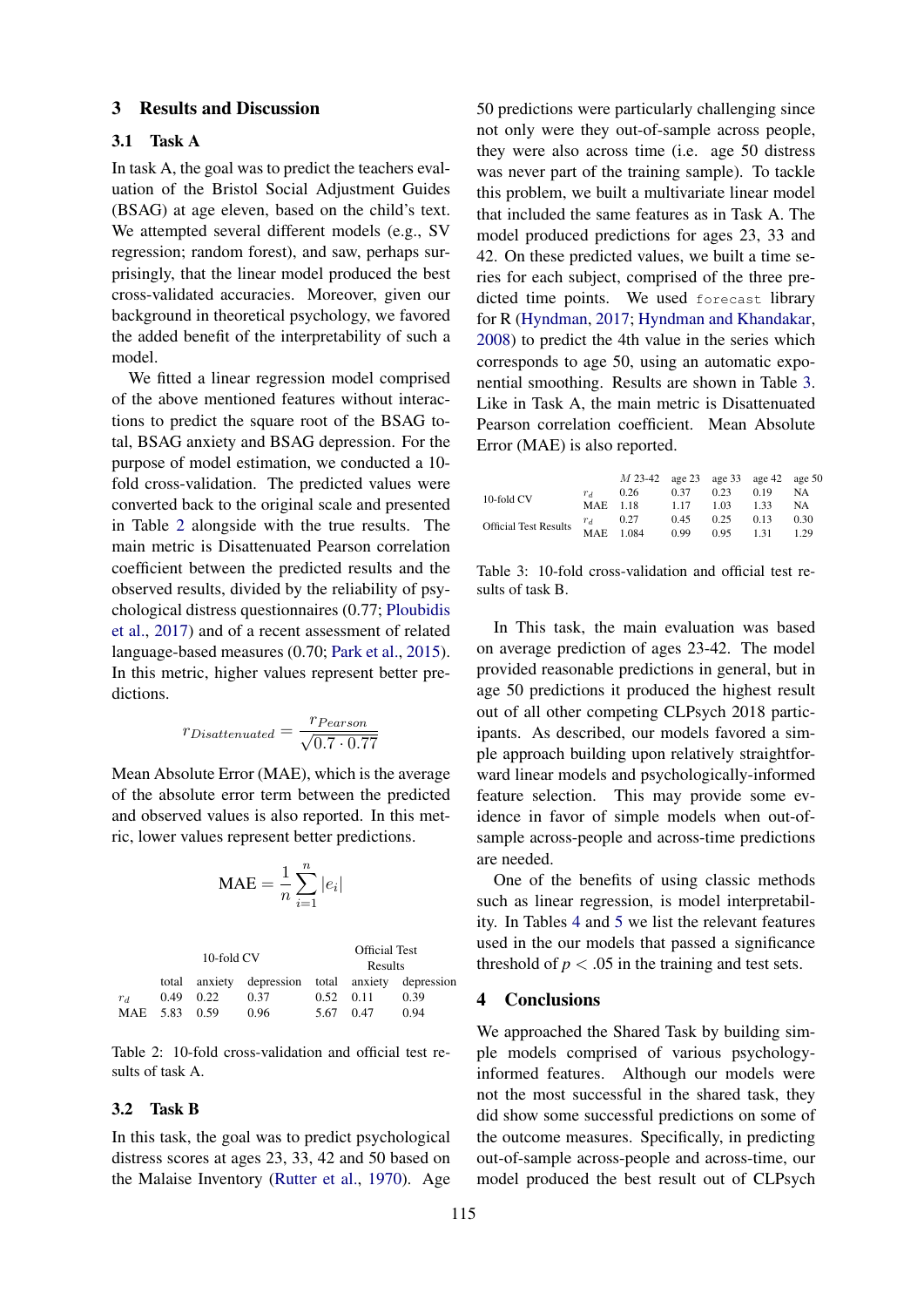### 3 Results and Discussion

#### 3.1 Task A

In task A, the goal was to predict the teachers evaluation of the Bristol Social Adjustment Guides (BSAG) at age eleven, based on the child's text. We attempted several different models (e.g., SV regression; random forest), and saw, perhaps surprisingly, that the linear model produced the best cross-validated accuracies. Moreover, given our background in theoretical psychology, we favored the added benefit of the interpretability of such a model.

We fitted a linear regression model comprised of the above mentioned features without interactions to predict the square root of the BSAG total, BSAG anxiety and BSAG depression. For the purpose of model estimation, we conducted a 10 fold cross-validation. The predicted values were converted back to the original scale and presented in Table 2 alongside with the true results. The main metric is Disattenuated Pearson correlation coefficient between the predicted results and the observed results, divided by the reliability of psychological distress questionnaires (0.77; Ploubidis et al., 2017) and of a recent assessment of related language-based measures (0.70; Park et al., 2015). In this metric, higher values represent better predictions.

$$
r_{Disattenuated} = \frac{r_{Pearson}}{\sqrt{0.7 \cdot 0.77}}
$$

Mean Absolute Error (MAE), which is the average of the absolute error term between the predicted and observed values is also reported. In this metric, lower values represent better predictions.

$$
\text{MAE} = \frac{1}{n}\sum_{i=1}^{n}|e_i|
$$

|               | 10-fold CV  |                                                   | <b>Official Test</b><br>Results |      |      |  |
|---------------|-------------|---------------------------------------------------|---------------------------------|------|------|--|
|               |             | total anxiety depression total anxiety depression |                                 |      |      |  |
| $r_{d}$       | $0.49$ 0.22 | 0.37                                              | $0.52 \quad 0.11$               |      | 0.39 |  |
| MAE 5.83 0.59 |             | 0.96                                              | 5.67                            | 0.47 | 0.94 |  |

Table 2: 10-fold cross-validation and official test results of task A.

#### 3.2 Task B

In this task, the goal was to predict psychological distress scores at ages 23, 33, 42 and 50 based on the Malaise Inventory (Rutter et al., 1970). Age 50 predictions were particularly challenging since not only were they out-of-sample across people, they were also across time (i.e. age 50 distress was never part of the training sample). To tackle this problem, we built a multivariate linear model that included the same features as in Task A. The model produced predictions for ages 23, 33 and 42. On these predicted values, we built a time series for each subject, comprised of the three predicted time points. We used forecast library for R (Hyndman, 2017; Hyndman and Khandakar, 2008) to predict the 4th value in the series which corresponds to age 50, using an automatic exponential smoothing. Results are shown in Table 3. Like in Task A, the main metric is Disattenuated Pearson correlation coefficient. Mean Absolute Error (MAE) is also reported.

|                              |           | $M$ 23-42 age 23 age 33 age 42 age 50 |      |      |      |           |
|------------------------------|-----------|---------------------------------------|------|------|------|-----------|
| 10-fold CV                   | $r_{d}$   | 0.26                                  | 0.37 | 0.23 | 0.19 | <b>NA</b> |
|                              |           | MAE 1.18                              | 1.17 | 1.03 | 1.33 | <b>NA</b> |
| <b>Official Test Results</b> | $r_d$     | 0.27                                  | 0.45 | 0.25 | 0.13 | 0.30      |
|                              | MAE 1.084 |                                       | 0.99 | 0.95 | 1.31 | 1.29      |

Table 3: 10-fold cross-validation and official test results of task B.

In This task, the main evaluation was based on average prediction of ages 23-42. The model provided reasonable predictions in general, but in age 50 predictions it produced the highest result out of all other competing CLPsych 2018 participants. As described, our models favored a simple approach building upon relatively straightforward linear models and psychologically-informed feature selection. This may provide some evidence in favor of simple models when out-ofsample across-people and across-time predictions are needed.

One of the benefits of using classic methods such as linear regression, is model interpretability. In Tables 4 and 5 we list the relevant features used in the our models that passed a significance threshold of  $p < .05$  in the training and test sets.

### 4 Conclusions

We approached the Shared Task by building simple models comprised of various psychologyinformed features. Although our models were not the most successful in the shared task, they did show some successful predictions on some of the outcome measures. Specifically, in predicting out-of-sample across-people and across-time, our model produced the best result out of CLPsych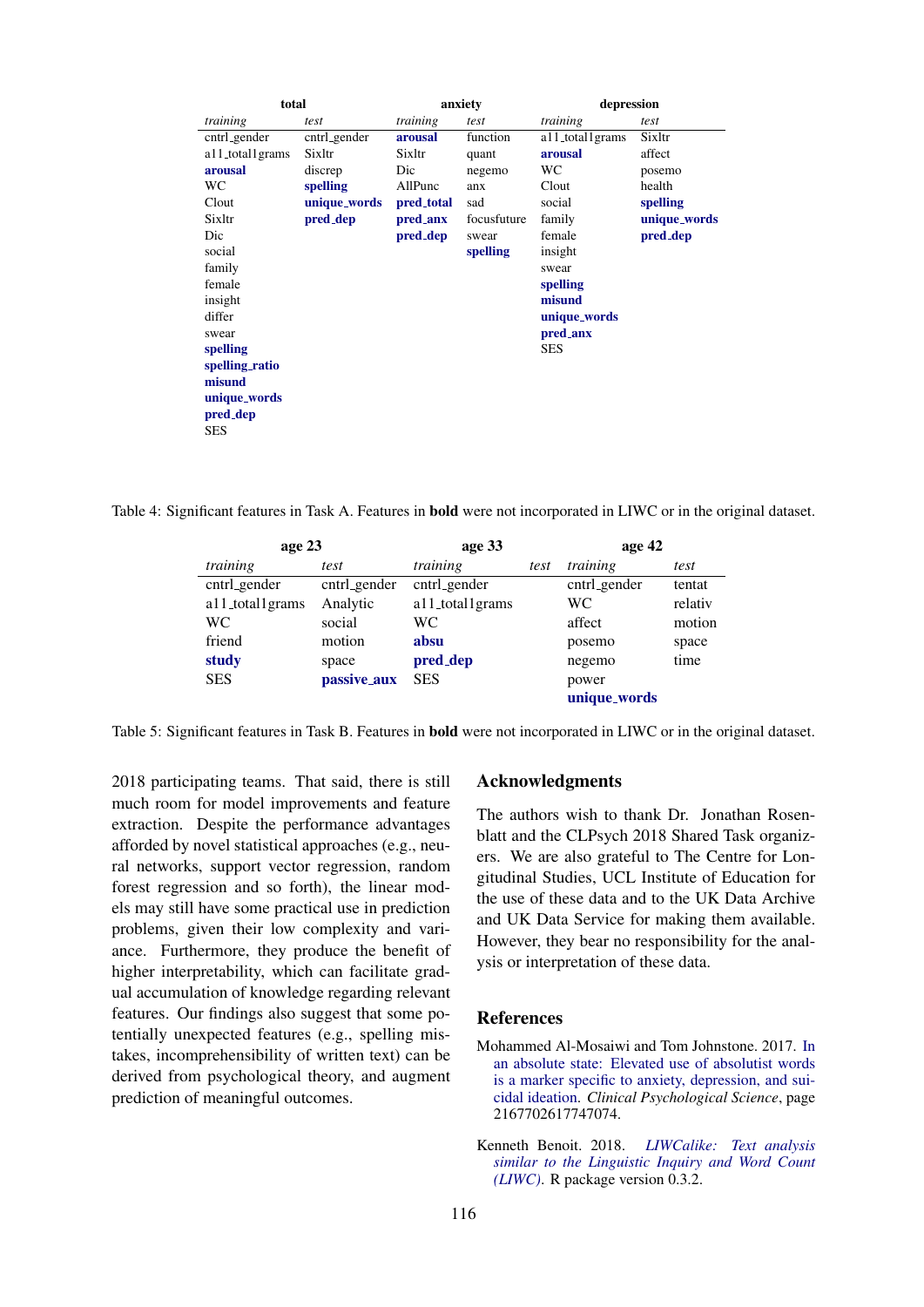| total        |            |             | depression      |              |  |
|--------------|------------|-------------|-----------------|--------------|--|
| test         | training   | test        | training        | test         |  |
| cntrl_gender | arousal    | function    | a11_total1grams | Sixltr       |  |
| Sixltr       | Sixltr     | quant       | arousal         | affect       |  |
| discrep      | Dic        | negemo      | WС              | posemo       |  |
| spelling     | AllPunc    | anx         | Clout           | health       |  |
| unique_words | pred_total | sad         | social          | spelling     |  |
| pred_dep     | pred_anx   | focusfuture | family          | unique_words |  |
|              | pred_dep   | swear       | female          | pred_dep     |  |
|              |            | spelling    | insight         |              |  |
|              |            |             | swear           |              |  |
|              |            |             | spelling        |              |  |
|              |            |             | misund          |              |  |
|              |            |             | unique_words    |              |  |
|              |            |             | pred_anx        |              |  |
|              |            |             | SES             |              |  |
|              |            |             |                 |              |  |
|              |            |             |                 |              |  |
|              |            |             |                 |              |  |
|              |            |             |                 |              |  |
|              |            |             |                 |              |  |
|              |            |             | anxiety         |              |  |

Table 4: Significant features in Task A. Features in bold were not incorporated in LIWC or in the original dataset.

| age 23          |              | age 33          |      | age 42       |         |
|-----------------|--------------|-----------------|------|--------------|---------|
| training        | test         | training        | test | training     | test    |
| cntrl_gender    | cntrl_gender | cntrl_gender    |      | cntrl_gender | tentat  |
| a11_total1grams | Analytic     | a11_total1grams |      | WC           | relativ |
| WC              | social       | WС              |      | affect       | motion  |
| friend          | motion       | absu            |      | posemo       | space   |
| study           | space        | pred_dep        |      | negemo       | time    |
| <b>SES</b>      | passive_aux  | <b>SES</b>      |      | power        |         |
|                 |              |                 |      | unique_words |         |

Table 5: Significant features in Task B. Features in bold were not incorporated in LIWC or in the original dataset.

2018 participating teams. That said, there is still much room for model improvements and feature extraction. Despite the performance advantages afforded by novel statistical approaches (e.g., neural networks, support vector regression, random forest regression and so forth), the linear models may still have some practical use in prediction problems, given their low complexity and variance. Furthermore, they produce the benefit of higher interpretability, which can facilitate gradual accumulation of knowledge regarding relevant features. Our findings also suggest that some potentially unexpected features (e.g., spelling mistakes, incomprehensibility of written text) can be derived from psychological theory, and augment prediction of meaningful outcomes.

## Acknowledgments

The authors wish to thank Dr. Jonathan Rosenblatt and the CLPsych 2018 Shared Task organizers. We are also grateful to The Centre for Longitudinal Studies, UCL Institute of Education for the use of these data and to the UK Data Archive and UK Data Service for making them available. However, they bear no responsibility for the analysis or interpretation of these data.

# References

- Mohammed Al-Mosaiwi and Tom Johnstone. 2017. In an absolute state: Elevated use of absolutist words is a marker specific to anxiety, depression, and suicidal ideation. *Clinical Psychological Science*, page 2167702617747074.
- Kenneth Benoit. 2018. *LIWCalike: Text analysis similar to the Linguistic Inquiry and Word Count (LIWC)*. R package version 0.3.2.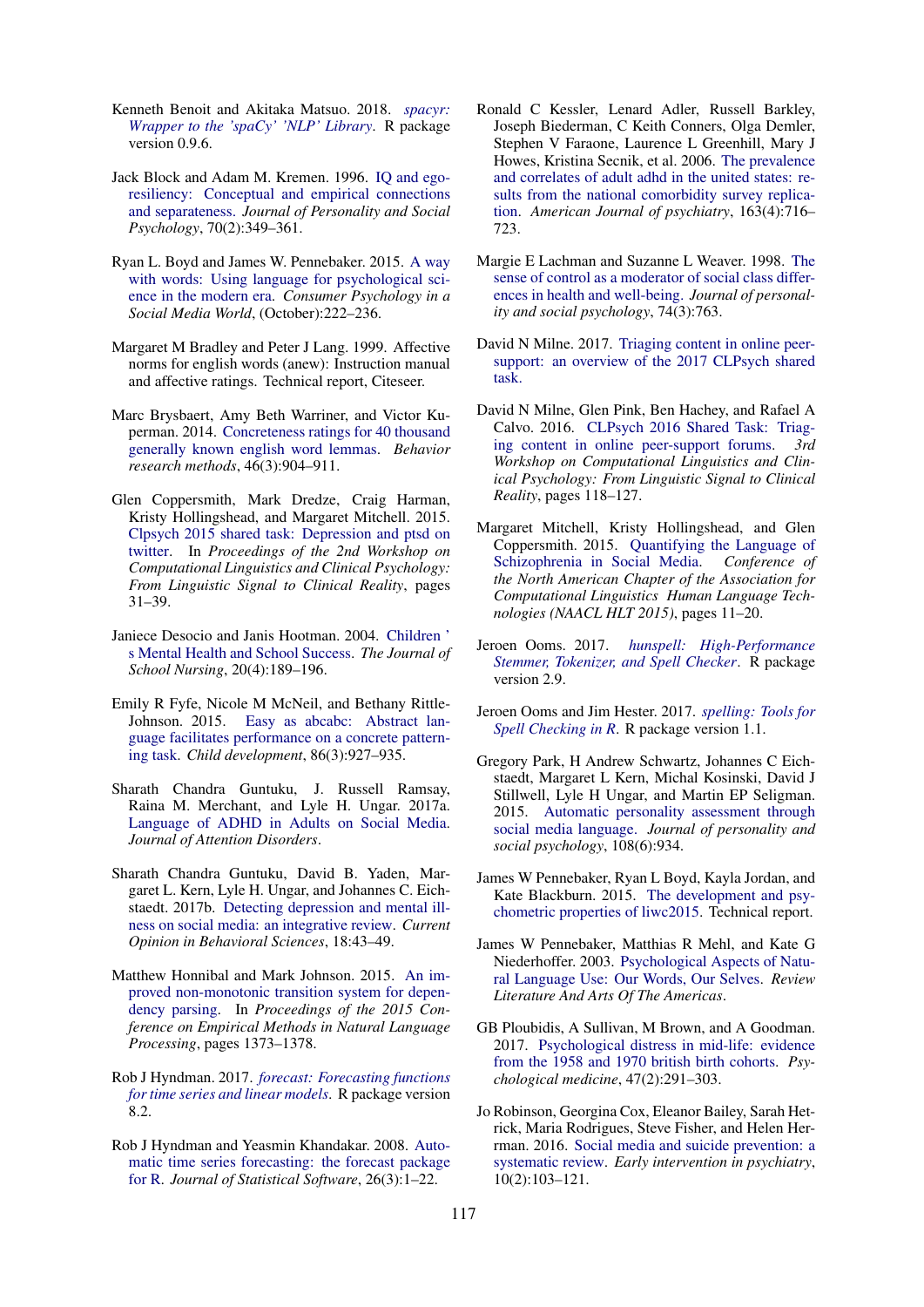- Kenneth Benoit and Akitaka Matsuo. 2018. *spacyr: Wrapper to the 'spaCy' 'NLP' Library*. R package version 0.9.6.
- Jack Block and Adam M. Kremen. 1996. IQ and egoresiliency: Conceptual and empirical connections and separateness. *Journal of Personality and Social Psychology*, 70(2):349–361.
- Ryan L. Boyd and James W. Pennebaker. 2015. A way with words: Using language for psychological science in the modern era. *Consumer Psychology in a Social Media World*, (October):222–236.
- Margaret M Bradley and Peter J Lang. 1999. Affective norms for english words (anew): Instruction manual and affective ratings. Technical report, Citeseer.
- Marc Brysbaert, Amy Beth Warriner, and Victor Kuperman. 2014. Concreteness ratings for 40 thousand generally known english word lemmas. *Behavior research methods*, 46(3):904–911.
- Glen Coppersmith, Mark Dredze, Craig Harman, Kristy Hollingshead, and Margaret Mitchell. 2015. Clpsych 2015 shared task: Depression and ptsd on twitter. In *Proceedings of the 2nd Workshop on Computational Linguistics and Clinical Psychology: From Linguistic Signal to Clinical Reality*, pages 31–39.
- Janiece Desocio and Janis Hootman. 2004. Children ' s Mental Health and School Success. *The Journal of School Nursing*, 20(4):189–196.
- Emily R Fyfe, Nicole M McNeil, and Bethany Rittle-Johnson. 2015. Easy as abcabc: Abstract language facilitates performance on a concrete patterning task. *Child development*, 86(3):927–935.
- Sharath Chandra Guntuku, J. Russell Ramsay, Raina M. Merchant, and Lyle H. Ungar. 2017a. Language of ADHD in Adults on Social Media. *Journal of Attention Disorders*.
- Sharath Chandra Guntuku, David B. Yaden, Margaret L. Kern, Lyle H. Ungar, and Johannes C. Eichstaedt. 2017b. Detecting depression and mental illness on social media: an integrative review. *Current Opinion in Behavioral Sciences*, 18:43–49.
- Matthew Honnibal and Mark Johnson. 2015. An improved non-monotonic transition system for dependency parsing. In *Proceedings of the 2015 Conference on Empirical Methods in Natural Language Processing*, pages 1373–1378.
- Rob J Hyndman. 2017. *forecast: Forecasting functions for time series and linear models*. R package version 8.2.
- Rob J Hyndman and Yeasmin Khandakar. 2008. Automatic time series forecasting: the forecast package for R. *Journal of Statistical Software*, 26(3):1–22.
- Ronald C Kessler, Lenard Adler, Russell Barkley, Joseph Biederman, C Keith Conners, Olga Demler, Stephen V Faraone, Laurence L Greenhill, Mary J Howes, Kristina Secnik, et al. 2006. The prevalence and correlates of adult adhd in the united states: results from the national comorbidity survey replication. *American Journal of psychiatry*, 163(4):716– 723.
- Margie E Lachman and Suzanne L Weaver. 1998. The sense of control as a moderator of social class differences in health and well-being. *Journal of personality and social psychology*, 74(3):763.
- David N Milne. 2017. Triaging content in online peersupport: an overview of the 2017 CLPsych shared task.
- David N Milne, Glen Pink, Ben Hachey, and Rafael A Calvo. 2016. CLPsych 2016 Shared Task: Triaging content in online peer-support forums. *3rd Workshop on Computational Linguistics and Clinical Psychology: From Linguistic Signal to Clinical Reality*, pages 118–127.
- Margaret Mitchell, Kristy Hollingshead, and Glen Coppersmith. 2015. Quantifying the Language of Schizophrenia in Social Media. *Conference of the North American Chapter of the Association for Computational Linguistics Human Language Technologies (NAACL HLT 2015)*, pages 11–20.
- Jeroen Ooms. 2017. *hunspell: High-Performance Stemmer, Tokenizer, and Spell Checker*. R package version 2.9.
- Jeroen Ooms and Jim Hester. 2017. *spelling: Tools for Spell Checking in R*. R package version 1.1.
- Gregory Park, H Andrew Schwartz, Johannes C Eichstaedt, Margaret L Kern, Michal Kosinski, David J Stillwell, Lyle H Ungar, and Martin EP Seligman. 2015. Automatic personality assessment through social media language. *Journal of personality and social psychology*, 108(6):934.
- James W Pennebaker, Ryan L Boyd, Kayla Jordan, and Kate Blackburn. 2015. The development and psychometric properties of liwc2015. Technical report.
- James W Pennebaker, Matthias R Mehl, and Kate G Niederhoffer. 2003. Psychological Aspects of Natural Language Use: Our Words, Our Selves. *Review Literature And Arts Of The Americas*.
- GB Ploubidis, A Sullivan, M Brown, and A Goodman. 2017. Psychological distress in mid-life: evidence from the 1958 and 1970 british birth cohorts. *Psychological medicine*, 47(2):291–303.
- Jo Robinson, Georgina Cox, Eleanor Bailey, Sarah Hetrick, Maria Rodrigues, Steve Fisher, and Helen Herrman. 2016. Social media and suicide prevention: a systematic review. *Early intervention in psychiatry*, 10(2):103–121.